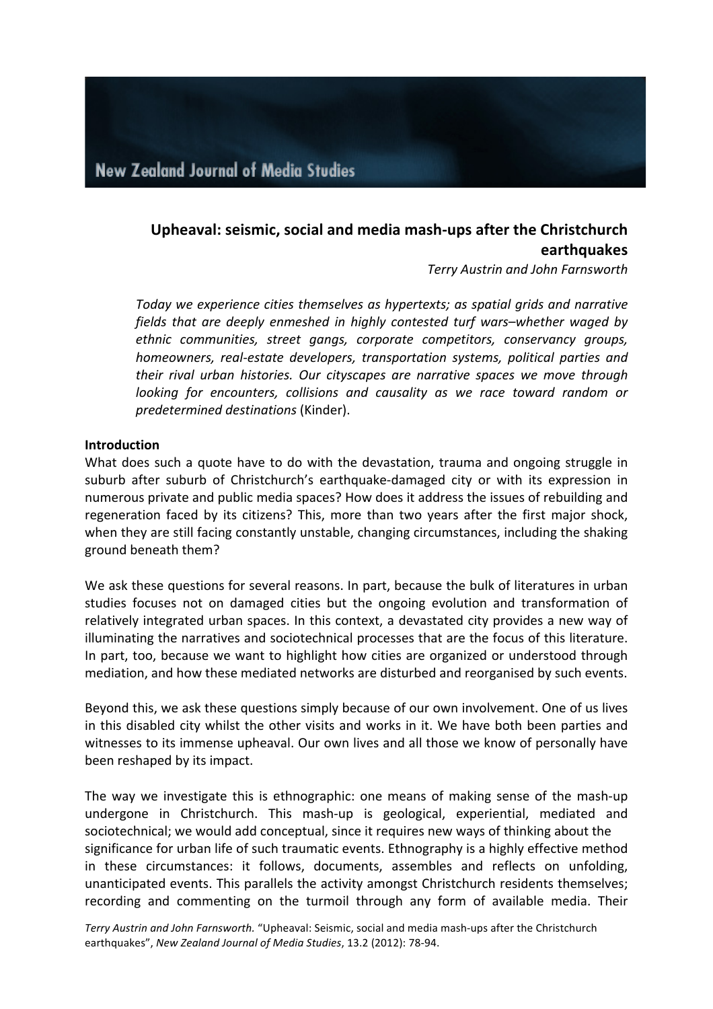# Upheaval: seismic, social and media mash-ups after the Christchurch **earthquakes**

*Terry Austrin and John Farnsworth*

*Today* we experience cities themselves as hypertexts; as spatial grids and narrative *fields* that are deeply enmeshed in highly contested turf wars–whether waged by ethnic communities, street gangs, corporate competitors, conservancy groups, *homeowners, real-estate developers, transportation systems, political parties and* their rival urban histories. Our cityscapes are narrative spaces we move through *looking for encounters, collisions and causality as we race toward random or predetermined destinations* (Kinder).

#### **Introduction**

What does such a quote have to do with the devastation, trauma and ongoing struggle in suburb after suburb of Christchurch's earthquake-damaged city or with its expression in numerous private and public media spaces? How does it address the issues of rebuilding and regeneration faced by its citizens? This, more than two years after the first major shock, when they are still facing constantly unstable, changing circumstances, including the shaking ground beneath them?

We ask these questions for several reasons. In part, because the bulk of literatures in urban studies focuses not on damaged cities but the ongoing evolution and transformation of relatively integrated urban spaces. In this context, a devastated city provides a new way of illuminating the narratives and sociotechnical processes that are the focus of this literature. In part, too, because we want to highlight how cities are organized or understood through mediation, and how these mediated networks are disturbed and reorganised by such events.

Beyond this, we ask these questions simply because of our own involvement. One of us lives in this disabled city whilst the other visits and works in it. We have both been parties and witnesses to its immense upheaval. Our own lives and all those we know of personally have been reshaped by its impact.

The way we investigate this is ethnographic: one means of making sense of the mash-up undergone in Christchurch. This mash-up is geological, experiential, mediated and sociotechnical; we would add conceptual, since it requires new ways of thinking about the significance for urban life of such traumatic events. Ethnography is a highly effective method in these circumstances: it follows, documents, assembles and reflects on unfolding, unanticipated events. This parallels the activity amongst Christchurch residents themselves; recording and commenting on the turmoil through any form of available media. Their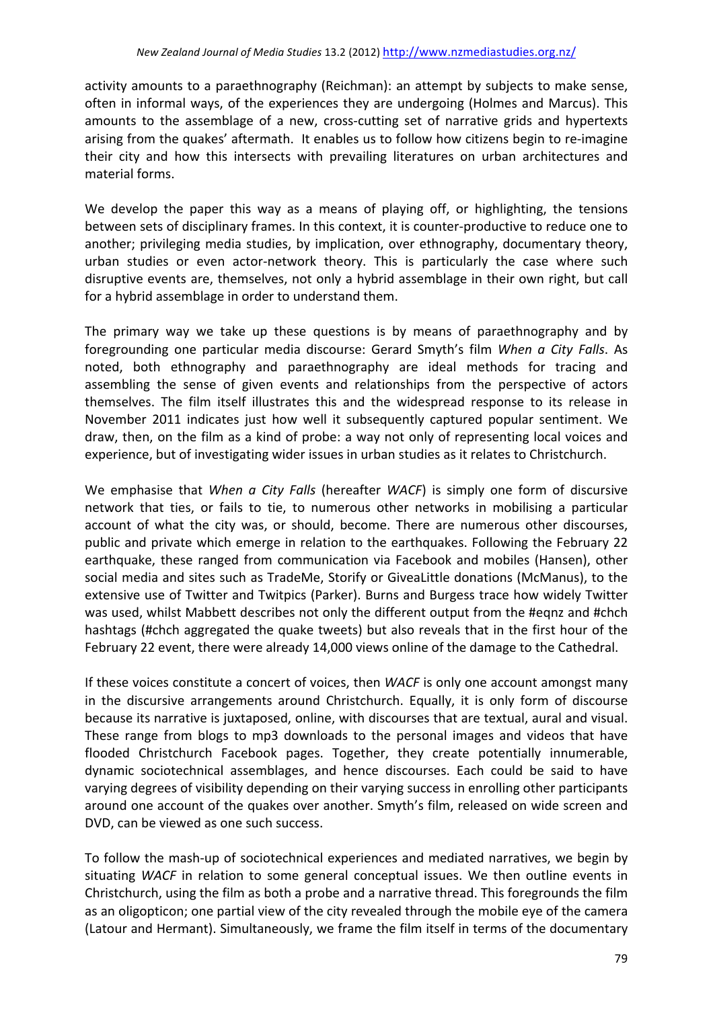activity amounts to a paraethnography (Reichman): an attempt by subjects to make sense, often in informal ways, of the experiences they are undergoing (Holmes and Marcus). This amounts to the assemblage of a new, cross-cutting set of narrative grids and hypertexts arising from the quakes' aftermath. It enables us to follow how citizens begin to re-imagine their city and how this intersects with prevailing literatures on urban architectures and material forms.

We develop the paper this way as a means of playing off, or highlighting, the tensions between sets of disciplinary frames. In this context, it is counter-productive to reduce one to another; privileging media studies, by implication, over ethnography, documentary theory, urban studies or even actor-network theory. This is particularly the case where such disruptive events are, themselves, not only a hybrid assemblage in their own right, but call for a hybrid assemblage in order to understand them.

The primary way we take up these questions is by means of paraethnography and by foregrounding one particular media discourse: Gerard Smyth's film *When a City Falls*. As noted, both ethnography and paraethnography are ideal methods for tracing and assembling the sense of given events and relationships from the perspective of actors themselves. The film itself illustrates this and the widespread response to its release in November 2011 indicates just how well it subsequently captured popular sentiment. We draw, then, on the film as a kind of probe: a way not only of representing local voices and experience, but of investigating wider issues in urban studies as it relates to Christchurch.

We emphasise that *When a City Falls* (hereafter *WACF*) is simply one form of discursive network that ties, or fails to tie, to numerous other networks in mobilising a particular account of what the city was, or should, become. There are numerous other discourses, public and private which emerge in relation to the earthquakes. Following the February 22 earthquake, these ranged from communication via Facebook and mobiles (Hansen), other social media and sites such as TradeMe, Storify or GiveaLittle donations (McManus), to the extensive use of Twitter and Twitpics (Parker). Burns and Burgess trace how widely Twitter was used, whilst Mabbett describes not only the different output from the #eqnz and #chch hashtags (#chch aggregated the quake tweets) but also reveals that in the first hour of the February 22 event, there were already 14,000 views online of the damage to the Cathedral.

If these voices constitute a concert of voices, then *WACF* is only one account amongst many in the discursive arrangements around Christchurch. Equally, it is only form of discourse because its narrative is juxtaposed, online, with discourses that are textual, aural and visual. These range from blogs to mp3 downloads to the personal images and videos that have flooded Christchurch Facebook pages. Together, they create potentially innumerable, dynamic sociotechnical assemblages, and hence discourses. Each could be said to have varying degrees of visibility depending on their varying success in enrolling other participants around one account of the quakes over another. Smyth's film, released on wide screen and DVD, can be viewed as one such success.

To follow the mash-up of sociotechnical experiences and mediated narratives, we begin by situating *WACF* in relation to some general conceptual issues. We then outline events in Christchurch, using the film as both a probe and a narrative thread. This foregrounds the film as an oligopticon; one partial view of the city revealed through the mobile eye of the camera (Latour and Hermant). Simultaneously, we frame the film itself in terms of the documentary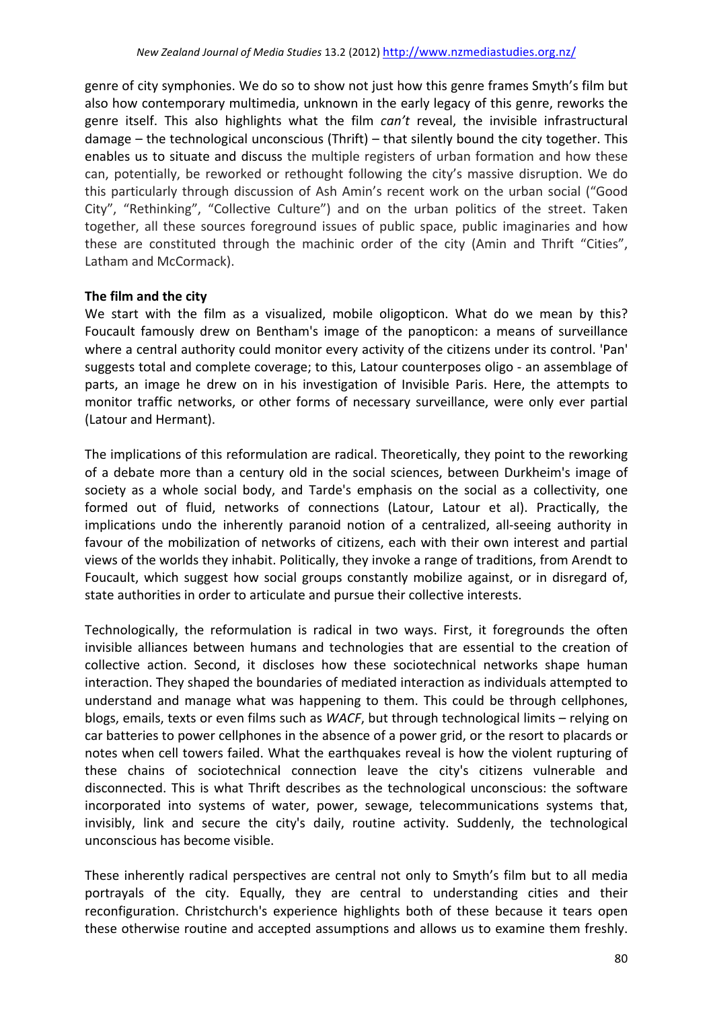genre of city symphonies. We do so to show not just how this genre frames Smyth's film but also how contemporary multimedia, unknown in the early legacy of this genre, reworks the genre itself. This also highlights what the film *can't* reveal, the invisible infrastructural damage  $-$  the technological unconscious (Thrift) – that silently bound the city together. This enables us to situate and discuss the multiple registers of urban formation and how these can, potentially, be reworked or rethought following the city's massive disruption. We do this particularly through discussion of Ash Amin's recent work on the urban social ("Good City", "Rethinking", "Collective Culture") and on the urban politics of the street. Taken together, all these sources foreground issues of public space, public imaginaries and how these are constituted through the machinic order of the city (Amin and Thrift "Cities", Latham and McCormack).

### The film and the city

We start with the film as a visualized, mobile oligopticon. What do we mean by this? Foucault famously drew on Bentham's image of the panopticon: a means of surveillance where a central authority could monitor every activity of the citizens under its control. 'Pan' suggests total and complete coverage; to this, Latour counterposes oligo - an assemblage of parts, an image he drew on in his investigation of Invisible Paris. Here, the attempts to monitor traffic networks, or other forms of necessary surveillance, were only ever partial (Latour and Hermant).

The implications of this reformulation are radical. Theoretically, they point to the reworking of a debate more than a century old in the social sciences, between Durkheim's image of society as a whole social body, and Tarde's emphasis on the social as a collectivity, one formed out of fluid, networks of connections (Latour, Latour et al). Practically, the implications undo the inherently paranoid notion of a centralized, all-seeing authority in favour of the mobilization of networks of citizens, each with their own interest and partial views of the worlds they inhabit. Politically, they invoke a range of traditions, from Arendt to Foucault, which suggest how social groups constantly mobilize against, or in disregard of, state authorities in order to articulate and pursue their collective interests.

Technologically, the reformulation is radical in two ways. First, it foregrounds the often invisible alliances between humans and technologies that are essential to the creation of collective action. Second, it discloses how these sociotechnical networks shape human interaction. They shaped the boundaries of mediated interaction as individuals attempted to understand and manage what was happening to them. This could be through cellphones, blogs, emails, texts or even films such as *WACF*, but through technological limits – relying on car batteries to power cellphones in the absence of a power grid, or the resort to placards or notes when cell towers failed. What the earthquakes reveal is how the violent rupturing of these chains of sociotechnical connection leave the city's citizens vulnerable and disconnected. This is what Thrift describes as the technological unconscious: the software incorporated into systems of water, power, sewage, telecommunications systems that, invisibly, link and secure the city's daily, routine activity. Suddenly, the technological unconscious has become visible.

These inherently radical perspectives are central not only to Smyth's film but to all media portrayals of the city. Equally, they are central to understanding cities and their reconfiguration. Christchurch's experience highlights both of these because it tears open these otherwise routine and accepted assumptions and allows us to examine them freshly.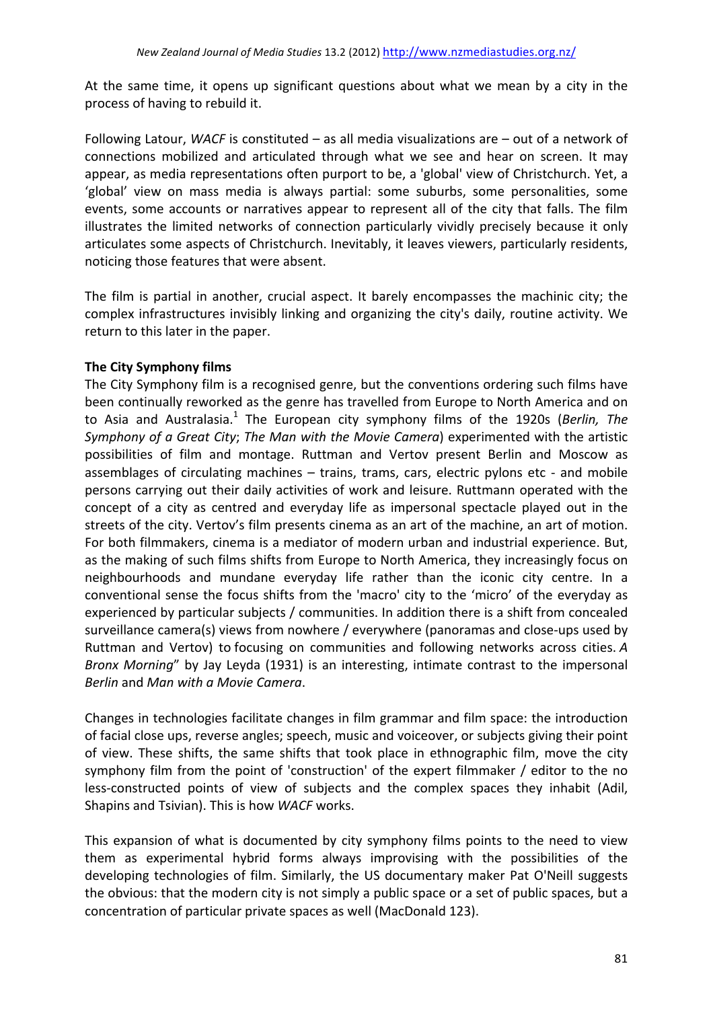At the same time, it opens up significant questions about what we mean by a city in the process of having to rebuild it.

Following Latour, *WACF* is constituted – as all media visualizations are – out of a network of connections mobilized and articulated through what we see and hear on screen. It may appear, as media representations often purport to be, a 'global' view of Christchurch. Yet, a 'global' view on mass media is always partial: some suburbs, some personalities, some events, some accounts or narratives appear to represent all of the city that falls. The film illustrates the limited networks of connection particularly vividly precisely because it only articulates some aspects of Christchurch. Inevitably, it leaves viewers, particularly residents, noticing those features that were absent.

The film is partial in another, crucial aspect. It barely encompasses the machinic city; the complex infrastructures invisibly linking and organizing the city's daily, routine activity. We return to this later in the paper.

### **The City Symphony films**

The City Symphony film is a recognised genre, but the conventions ordering such films have been continually reworked as the genre has travelled from Europe to North America and on to Asia and Australasia.<sup>1</sup> The European city symphony films of the 1920s (*Berlin, The Symphony of a Great City; The Man with the Movie Camera*) experimented with the artistic possibilities of film and montage. Ruttman and Vertov present Berlin and Moscow as assemblages of circulating machines  $-$  trains, trams, cars, electric pylons etc - and mobile persons carrying out their daily activities of work and leisure. Ruttmann operated with the concept of a city as centred and everyday life as impersonal spectacle played out in the streets of the city. Vertov's film presents cinema as an art of the machine, an art of motion. For both filmmakers, cinema is a mediator of modern urban and industrial experience. But, as the making of such films shifts from Europe to North America, they increasingly focus on neighbourhoods and mundane everyday life rather than the iconic city centre. In a conventional sense the focus shifts from the 'macro' city to the 'micro' of the everyday as experienced by particular subjects / communities. In addition there is a shift from concealed surveillance camera(s) views from nowhere / everywhere (panoramas and close-ups used by Ruttman and Vertov) to focusing on communities and following networks across cities. A *Bronx Morning*" by Jay Leyda (1931) is an interesting, intimate contrast to the impersonal *Berlin* and *Man with a Movie Camera*.

Changes in technologies facilitate changes in film grammar and film space: the introduction of facial close ups, reverse angles; speech, music and voiceover, or subjects giving their point of view. These shifts, the same shifts that took place in ethnographic film, move the city symphony film from the point of 'construction' of the expert filmmaker / editor to the no less-constructed points of view of subjects and the complex spaces they inhabit (Adil, Shapins and Tsivian). This is how *WACF* works.

This expansion of what is documented by city symphony films points to the need to view them as experimental hybrid forms always improvising with the possibilities of the developing technologies of film. Similarly, the US documentary maker Pat O'Neill suggests the obvious: that the modern city is not simply a public space or a set of public spaces, but a concentration of particular private spaces as well (MacDonald 123).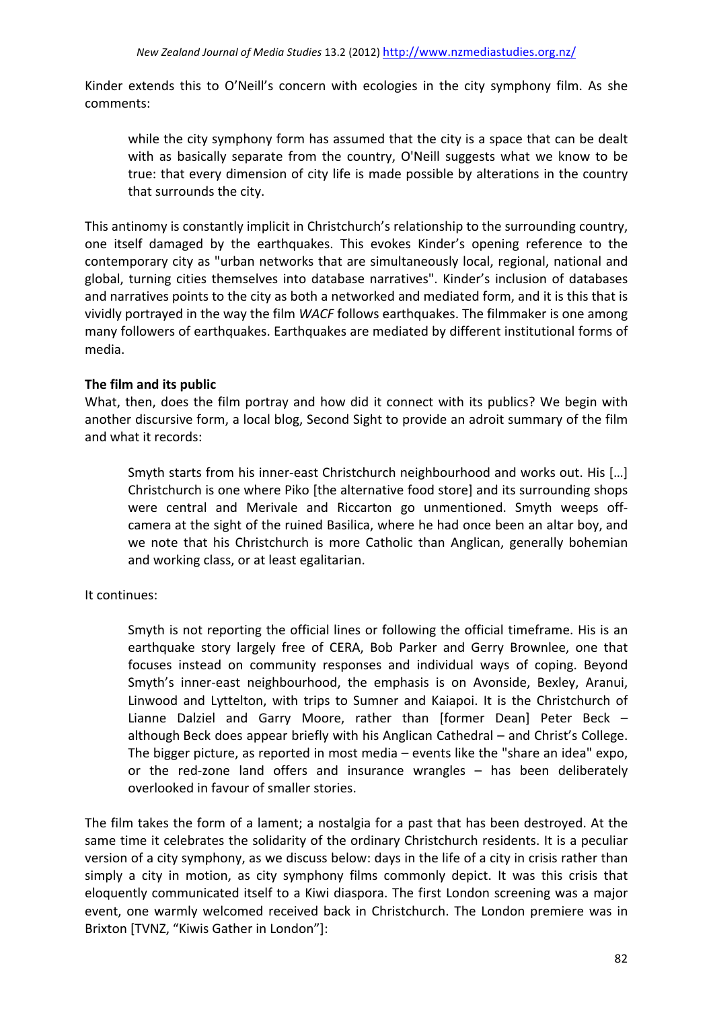Kinder extends this to O'Neill's concern with ecologies in the city symphony film. As she comments: 

while the city symphony form has assumed that the city is a space that can be dealt with as basically separate from the country, O'Neill suggests what we know to be true: that every dimension of city life is made possible by alterations in the country that surrounds the city.

This antinomy is constantly implicit in Christchurch's relationship to the surrounding country, one itself damaged by the earthquakes. This evokes Kinder's opening reference to the contemporary city as "urban networks that are simultaneously local, regional, national and global, turning cities themselves into database narratives". Kinder's inclusion of databases and narratives points to the city as both a networked and mediated form, and it is this that is vividly portrayed in the way the film *WACF* follows earthquakes. The filmmaker is one among many followers of earthquakes. Earthquakes are mediated by different institutional forms of media.

### **The film and its public**

What, then, does the film portray and how did it connect with its publics? We begin with another discursive form, a local blog, Second Sight to provide an adroit summary of the film and what it records:

Smyth starts from his inner-east Christchurch neighbourhood and works out. His [...] Christchurch is one where Piko [the alternative food store] and its surrounding shops were central and Merivale and Riccarton go unmentioned. Smyth weeps offcamera at the sight of the ruined Basilica, where he had once been an altar boy, and we note that his Christchurch is more Catholic than Anglican, generally bohemian and working class, or at least egalitarian.

### It continues:

Smyth is not reporting the official lines or following the official timeframe. His is an earthquake story largely free of CERA, Bob Parker and Gerry Brownlee, one that focuses instead on community responses and individual ways of coping. Beyond Smyth's inner-east neighbourhood, the emphasis is on Avonside, Bexley, Aranui, Linwood and Lyttelton, with trips to Sumner and Kaiapoi. It is the Christchurch of Lianne Dalziel and Garry Moore, rather than [former Dean] Peter Beck  $$ although Beck does appear briefly with his Anglican Cathedral  $-$  and Christ's College. The bigger picture, as reported in most media – events like the "share an idea" expo, or the red-zone land offers and insurance wrangles  $-$  has been deliberately overlooked in favour of smaller stories.

The film takes the form of a lament; a nostalgia for a past that has been destroyed. At the same time it celebrates the solidarity of the ordinary Christchurch residents. It is a peculiar version of a city symphony, as we discuss below: days in the life of a city in crisis rather than simply a city in motion, as city symphony films commonly depict. It was this crisis that eloquently communicated itself to a Kiwi diaspora. The first London screening was a major event, one warmly welcomed received back in Christchurch. The London premiere was in Brixton [TVNZ, "Kiwis Gather in London"]: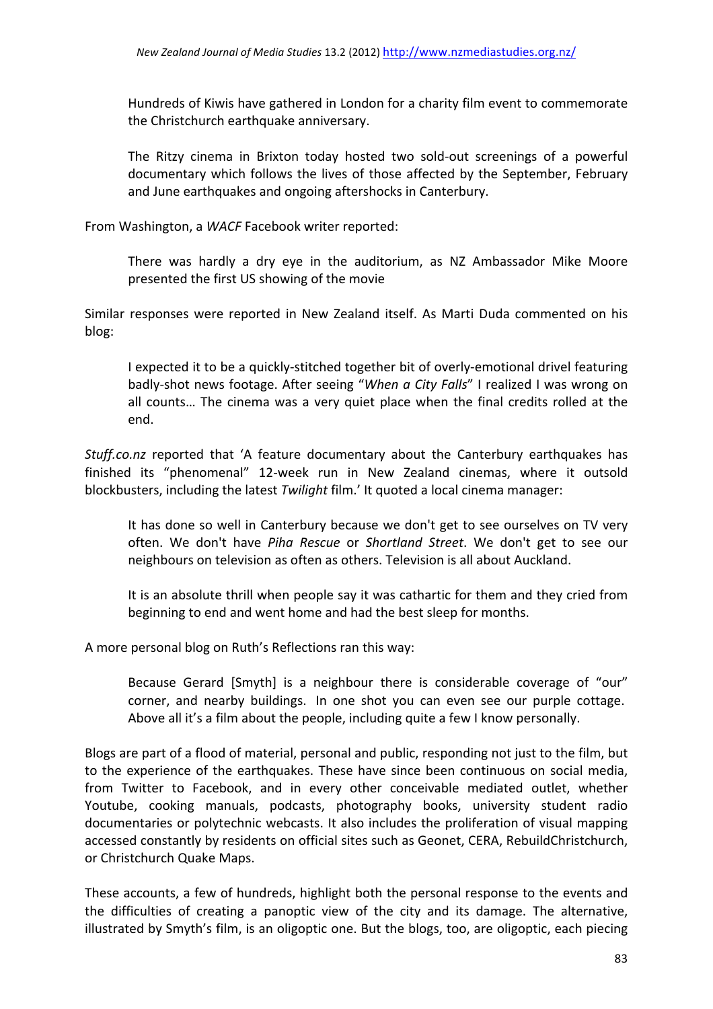Hundreds of Kiwis have gathered in London for a charity film event to commemorate the Christchurch earthquake anniversary.

The Ritzy cinema in Brixton today hosted two sold-out screenings of a powerful documentary which follows the lives of those affected by the September, February and June earthquakes and ongoing aftershocks in Canterbury.

From Washington, a WACF Facebook writer reported:

There was hardly a dry eye in the auditorium, as NZ Ambassador Mike Moore presented the first US showing of the movie

Similar responses were reported in New Zealand itself. As Marti Duda commented on his blog:

I expected it to be a quickly-stitched together bit of overly-emotional drivel featuring badly-shot news footage. After seeing "When a City Falls" I realized I was wrong on all counts... The cinema was a very quiet place when the final credits rolled at the end.

*Stuff.co.nz* reported that 'A feature documentary about the Canterbury earthquakes has finished its "phenomenal" 12-week run in New Zealand cinemas, where it outsold blockbusters, including the latest *Twilight* film.' It quoted a local cinema manager:

It has done so well in Canterbury because we don't get to see ourselves on TV very often. We don't have Piha Rescue or Shortland Street. We don't get to see our neighbours on television as often as others. Television is all about Auckland.

It is an absolute thrill when people say it was cathartic for them and they cried from beginning to end and went home and had the best sleep for months.

A more personal blog on Ruth's Reflections ran this way:

Because Gerard [Smyth] is a neighbour there is considerable coverage of "our" corner, and nearby buildings. In one shot you can even see our purple cottage. Above all it's a film about the people, including quite a few I know personally.

Blogs are part of a flood of material, personal and public, responding not just to the film, but to the experience of the earthquakes. These have since been continuous on social media, from Twitter to Facebook, and in every other conceivable mediated outlet, whether Youtube, cooking manuals, podcasts, photography books, university student radio documentaries or polytechnic webcasts. It also includes the proliferation of visual mapping accessed constantly by residents on official sites such as Geonet, CERA, RebuildChristchurch, or Christchurch Quake Maps.

These accounts, a few of hundreds, highlight both the personal response to the events and the difficulties of creating a panoptic view of the city and its damage. The alternative, illustrated by Smyth's film, is an oligoptic one. But the blogs, too, are oligoptic, each piecing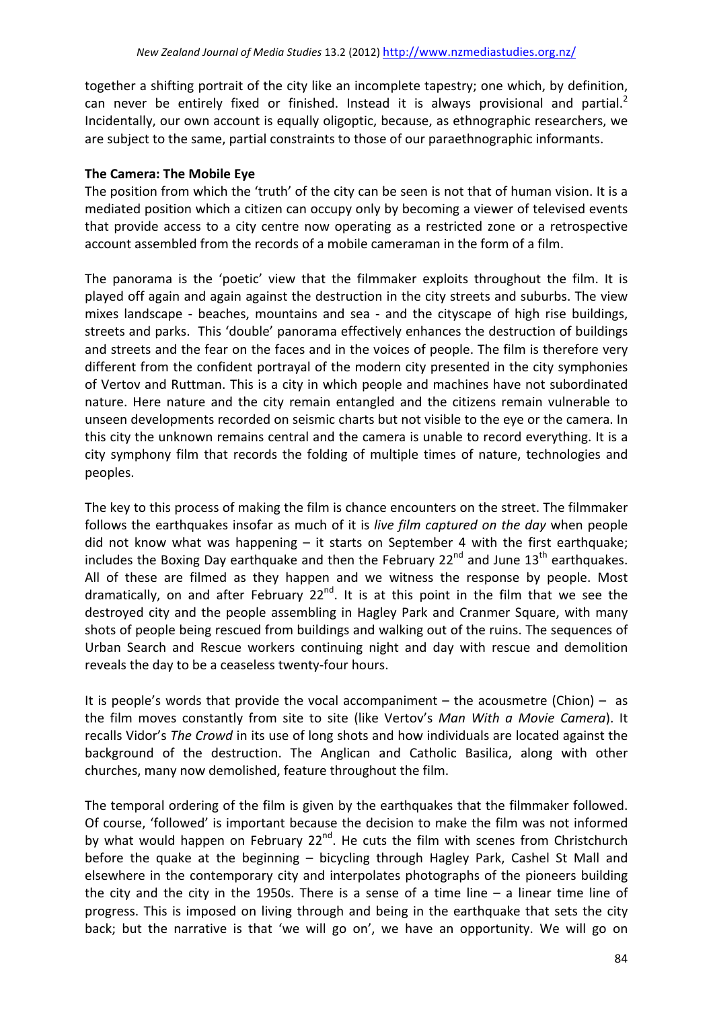together a shifting portrait of the city like an incomplete tapestry; one which, by definition, can never be entirely fixed or finished. Instead it is always provisional and partial.<sup>2</sup> Incidentally, our own account is equally oligoptic, because, as ethnographic researchers, we are subject to the same, partial constraints to those of our paraethnographic informants.

### **The Camera: The Mobile Eye**

The position from which the 'truth' of the city can be seen is not that of human vision. It is a mediated position which a citizen can occupy only by becoming a viewer of televised events that provide access to a city centre now operating as a restricted zone or a retrospective account assembled from the records of a mobile cameraman in the form of a film.

The panorama is the 'poetic' view that the filmmaker exploits throughout the film. It is played off again and again against the destruction in the city streets and suburbs. The view mixes landscape - beaches, mountains and sea - and the cityscape of high rise buildings, streets and parks. This 'double' panorama effectively enhances the destruction of buildings and streets and the fear on the faces and in the voices of people. The film is therefore very different from the confident portrayal of the modern city presented in the city symphonies of Vertov and Ruttman. This is a city in which people and machines have not subordinated nature. Here nature and the city remain entangled and the citizens remain vulnerable to unseen developments recorded on seismic charts but not visible to the eve or the camera. In this city the unknown remains central and the camera is unable to record everything. It is a city symphony film that records the folding of multiple times of nature, technologies and peoples. 

The key to this process of making the film is chance encounters on the street. The filmmaker follows the earthquakes insofar as much of it is *live film captured on the day* when people did not know what was happening  $-$  it starts on September 4 with the first earthquake; includes the Boxing Day earthquake and then the February  $22^{nd}$  and June  $13^{th}$  earthquakes. All of these are filmed as they happen and we witness the response by people. Most dramatically, on and after February  $22^{nd}$ . It is at this point in the film that we see the destroyed city and the people assembling in Hagley Park and Cranmer Square, with many shots of people being rescued from buildings and walking out of the ruins. The sequences of Urban Search and Rescue workers continuing night and day with rescue and demolition reveals the day to be a ceaseless twenty-four hours.

It is people's words that provide the vocal accompaniment  $-$  the acousmetre (Chion)  $-$  as the film moves constantly from site to site (like Vertov's Man With a Movie Camera). It recalls Vidor's *The Crowd* in its use of long shots and how individuals are located against the background of the destruction. The Anglican and Catholic Basilica, along with other churches, many now demolished, feature throughout the film.

The temporal ordering of the film is given by the earthquakes that the filmmaker followed. Of course, 'followed' is important because the decision to make the film was not informed by what would happen on February  $22^{nd}$ . He cuts the film with scenes from Christchurch before the quake at the beginning  $-$  bicycling through Hagley Park, Cashel St Mall and elsewhere in the contemporary city and interpolates photographs of the pioneers building the city and the city in the 1950s. There is a sense of a time line  $-$  a linear time line of progress. This is imposed on living through and being in the earthquake that sets the city back; but the narrative is that 'we will go on', we have an opportunity. We will go on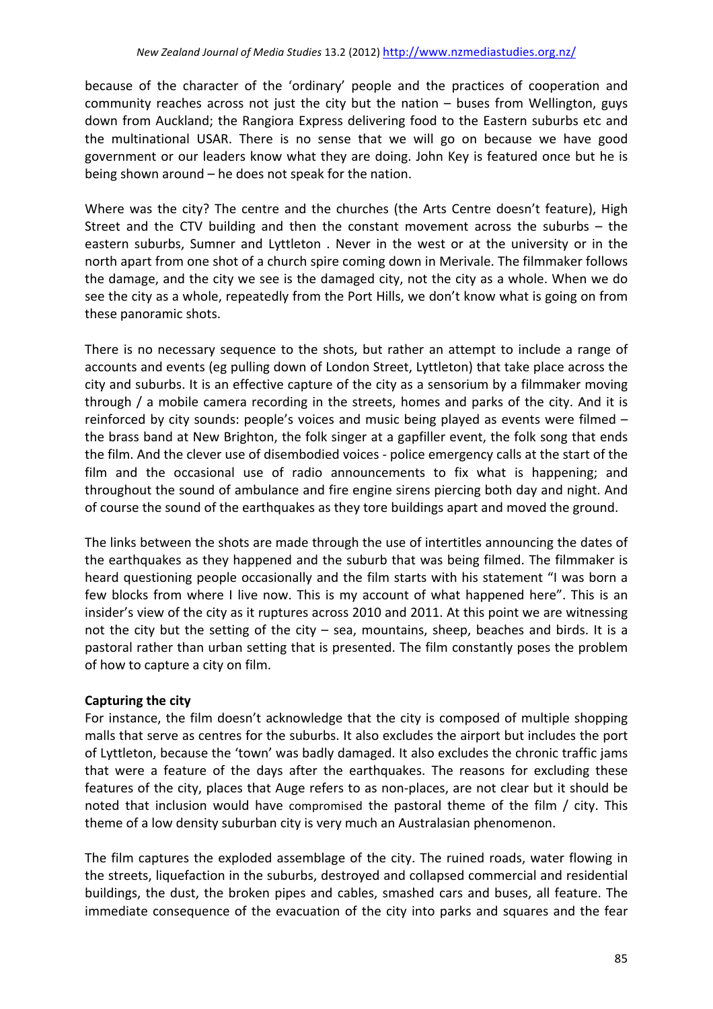because of the character of the 'ordinary' people and the practices of cooperation and community reaches across not just the city but the nation  $-$  buses from Wellington, guys down from Auckland; the Rangiora Express delivering food to the Eastern suburbs etc and the multinational USAR. There is no sense that we will go on because we have good government or our leaders know what they are doing. John Key is featured once but he is being shown around  $-$  he does not speak for the nation.

Where was the city? The centre and the churches (the Arts Centre doesn't feature), High Street and the CTV building and then the constant movement across the suburbs  $-$  the eastern suburbs, Sumner and Lyttleton . Never in the west or at the university or in the north apart from one shot of a church spire coming down in Merivale. The filmmaker follows the damage, and the city we see is the damaged city, not the city as a whole. When we do see the city as a whole, repeatedly from the Port Hills, we don't know what is going on from these panoramic shots.

There is no necessary sequence to the shots, but rather an attempt to include a range of accounts and events (eg pulling down of London Street, Lyttleton) that take place across the city and suburbs. It is an effective capture of the city as a sensorium by a filmmaker moving through / a mobile camera recording in the streets, homes and parks of the city. And it is reinforced by city sounds: people's voices and music being played as events were filmed  $$ the brass band at New Brighton, the folk singer at a gapfiller event, the folk song that ends the film. And the clever use of disembodied voices - police emergency calls at the start of the film and the occasional use of radio announcements to fix what is happening; and throughout the sound of ambulance and fire engine sirens piercing both day and night. And of course the sound of the earthquakes as they tore buildings apart and moved the ground.

The links between the shots are made through the use of intertitles announcing the dates of the earthquakes as they happened and the suburb that was being filmed. The filmmaker is heard questioning people occasionally and the film starts with his statement "I was born a few blocks from where I live now. This is my account of what happened here". This is an insider's view of the city as it ruptures across 2010 and 2011. At this point we are witnessing not the city but the setting of the city  $-$  sea, mountains, sheep, beaches and birds. It is a pastoral rather than urban setting that is presented. The film constantly poses the problem of how to capture a city on film.

## **Capturing the city**

For instance, the film doesn't acknowledge that the city is composed of multiple shopping malls that serve as centres for the suburbs. It also excludes the airport but includes the port of Lyttleton, because the 'town' was badly damaged. It also excludes the chronic traffic jams that were a feature of the days after the earthquakes. The reasons for excluding these features of the city, places that Auge refers to as non-places, are not clear but it should be noted that inclusion would have compromised the pastoral theme of the film / city. This theme of a low density suburban city is very much an Australasian phenomenon.

The film captures the exploded assemblage of the city. The ruined roads, water flowing in the streets, liquefaction in the suburbs, destroyed and collapsed commercial and residential buildings, the dust, the broken pipes and cables, smashed cars and buses, all feature. The immediate consequence of the evacuation of the city into parks and squares and the fear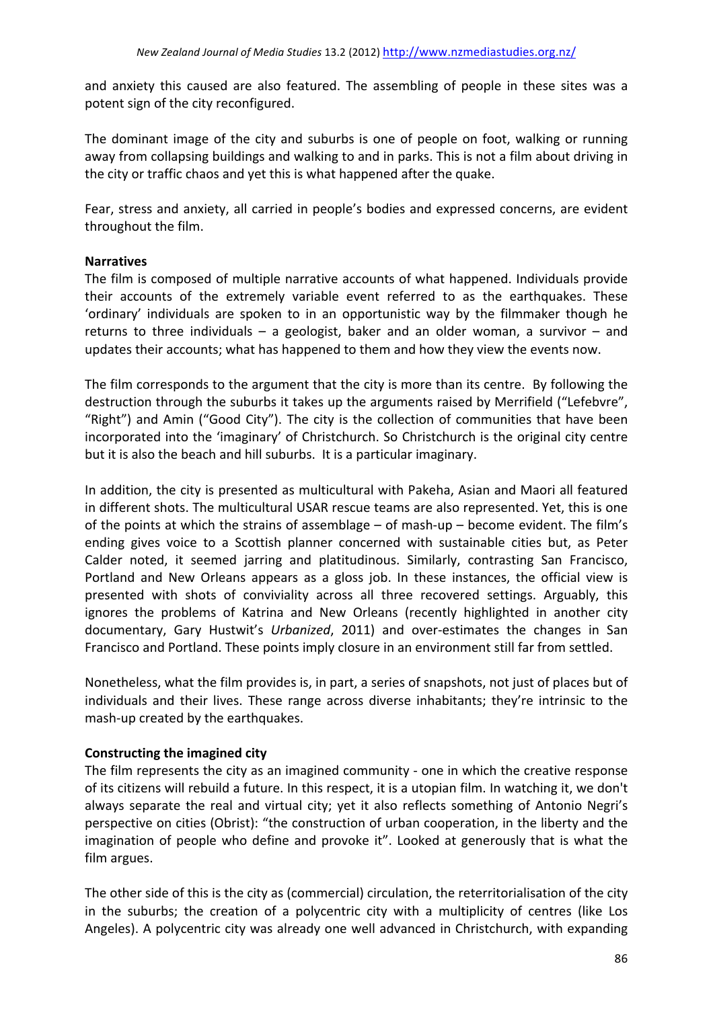and anxiety this caused are also featured. The assembling of people in these sites was a potent sign of the city reconfigured.

The dominant image of the city and suburbs is one of people on foot, walking or running away from collapsing buildings and walking to and in parks. This is not a film about driving in the city or traffic chaos and yet this is what happened after the quake.

Fear, stress and anxiety, all carried in people's bodies and expressed concerns, are evident throughout the film.

### **Narratives**

The film is composed of multiple narrative accounts of what happened. Individuals provide their accounts of the extremely variable event referred to as the earthquakes. These 'ordinary' individuals are spoken to in an opportunistic way by the filmmaker though he returns to three individuals  $-$  a geologist, baker and an older woman, a survivor  $-$  and updates their accounts; what has happened to them and how they view the events now.

The film corresponds to the argument that the city is more than its centre. By following the destruction through the suburbs it takes up the arguments raised by Merrifield ("Lefebvre", "Right") and Amin ("Good City"). The city is the collection of communities that have been incorporated into the 'imaginary' of Christchurch. So Christchurch is the original city centre but it is also the beach and hill suburbs. It is a particular imaginary.

In addition, the city is presented as multicultural with Pakeha, Asian and Maori all featured in different shots. The multicultural USAR rescue teams are also represented. Yet, this is one of the points at which the strains of assemblage – of mash-up – become evident. The film's ending gives voice to a Scottish planner concerned with sustainable cities but, as Peter Calder noted, it seemed jarring and platitudinous. Similarly, contrasting San Francisco, Portland and New Orleans appears as a gloss job. In these instances, the official view is presented with shots of conviviality across all three recovered settings. Arguably, this ignores the problems of Katrina and New Orleans (recently highlighted in another city documentary, Gary Hustwit's *Urbanized*, 2011) and over-estimates the changes in San Francisco and Portland. These points imply closure in an environment still far from settled.

Nonetheless, what the film provides is, in part, a series of snapshots, not just of places but of individuals and their lives. These range across diverse inhabitants; they're intrinsic to the mash-up created by the earthquakes.

### **Constructing the imagined city**

The film represents the city as an imagined community - one in which the creative response of its citizens will rebuild a future. In this respect, it is a utopian film. In watching it, we don't always separate the real and virtual city; yet it also reflects something of Antonio Negri's perspective on cities (Obrist): "the construction of urban cooperation, in the liberty and the imagination of people who define and provoke it". Looked at generously that is what the film argues.

The other side of this is the city as (commercial) circulation, the reterritorialisation of the city in the suburbs; the creation of a polycentric city with a multiplicity of centres (like Los Angeles). A polycentric city was already one well advanced in Christchurch, with expanding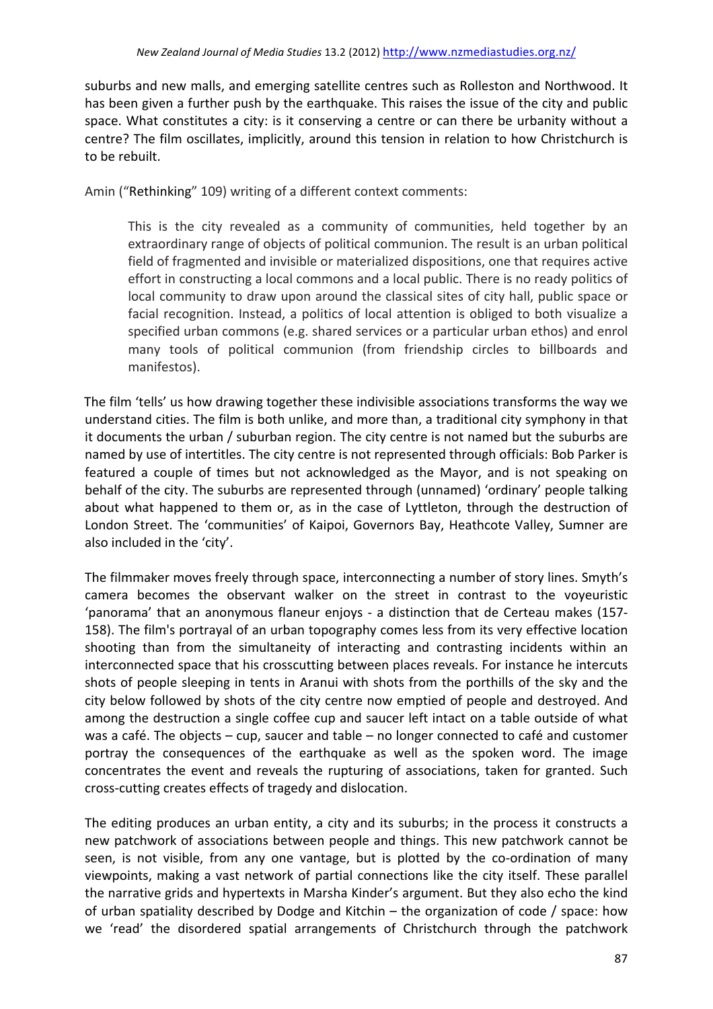suburbs and new malls, and emerging satellite centres such as Rolleston and Northwood. It has been given a further push by the earthquake. This raises the issue of the city and public space. What constitutes a city: is it conserving a centre or can there be urbanity without a centre? The film oscillates, implicitly, around this tension in relation to how Christchurch is to be rebuilt.

Amin ("Rethinking" 109) writing of a different context comments:

This is the city revealed as a community of communities, held together by an extraordinary range of objects of political communion. The result is an urban political field of fragmented and invisible or materialized dispositions, one that requires active effort in constructing a local commons and a local public. There is no ready politics of local community to draw upon around the classical sites of city hall, public space or facial recognition. Instead, a politics of local attention is obliged to both visualize a specified urban commons (e.g. shared services or a particular urban ethos) and enrol many tools of political communion (from friendship circles to billboards and manifestos).

The film 'tells' us how drawing together these indivisible associations transforms the way we understand cities. The film is both unlike, and more than, a traditional city symphony in that it documents the urban / suburban region. The city centre is not named but the suburbs are named by use of intertitles. The city centre is not represented through officials: Bob Parker is featured a couple of times but not acknowledged as the Mayor, and is not speaking on behalf of the city. The suburbs are represented through (unnamed) 'ordinary' people talking about what happened to them or, as in the case of Lyttleton, through the destruction of London Street. The 'communities' of Kaipoi, Governors Bay, Heathcote Valley, Sumner are also included in the 'city'.

The filmmaker moves freely through space, interconnecting a number of story lines. Smyth's camera becomes the observant walker on the street in contrast to the voyeuristic 'panorama' that an anonymous flaneur enjoys - a distinction that de Certeau makes (157-158). The film's portrayal of an urban topography comes less from its very effective location shooting than from the simultaneity of interacting and contrasting incidents within an interconnected space that his crosscutting between places reveals. For instance he intercuts shots of people sleeping in tents in Aranui with shots from the porthills of the sky and the city below followed by shots of the city centre now emptied of people and destroyed. And among the destruction a single coffee cup and saucer left intact on a table outside of what was a café. The objects  $-$  cup, saucer and table  $-$  no longer connected to café and customer portray the consequences of the earthquake as well as the spoken word. The image concentrates the event and reveals the rupturing of associations, taken for granted. Such cross-cutting creates effects of tragedy and dislocation.

The editing produces an urban entity, a city and its suburbs; in the process it constructs a new patchwork of associations between people and things. This new patchwork cannot be seen, is not visible, from any one vantage, but is plotted by the co-ordination of many viewpoints, making a vast network of partial connections like the city itself. These parallel the narrative grids and hypertexts in Marsha Kinder's argument. But they also echo the kind of urban spatiality described by Dodge and Kitchin – the organization of code / space: how we 'read' the disordered spatial arrangements of Christchurch through the patchwork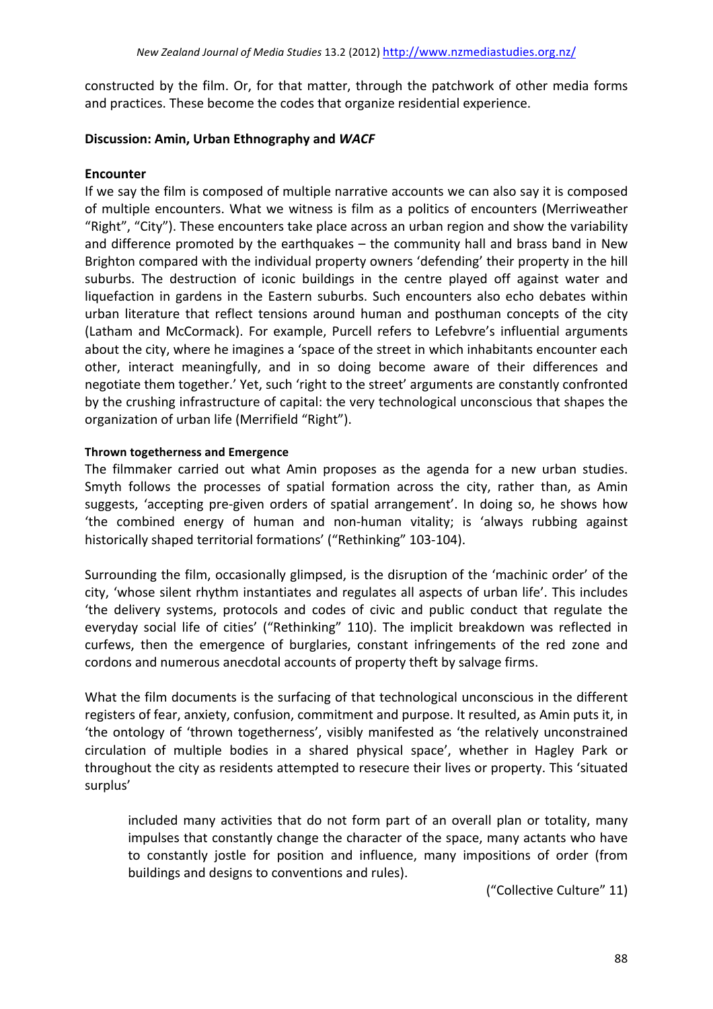constructed by the film. Or, for that matter, through the patchwork of other media forms and practices. These become the codes that organize residential experience.

#### **Discussion: Amin, Urban Ethnography and WACF**

### **Encounter**

If we say the film is composed of multiple narrative accounts we can also say it is composed of multiple encounters. What we witness is film as a politics of encounters (Merriweather "Right", "City"). These encounters take place across an urban region and show the variability and difference promoted by the earthquakes  $-$  the community hall and brass band in New Brighton compared with the individual property owners 'defending' their property in the hill suburbs. The destruction of iconic buildings in the centre played off against water and liquefaction in gardens in the Eastern suburbs. Such encounters also echo debates within urban literature that reflect tensions around human and posthuman concepts of the city (Latham and McCormack). For example, Purcell refers to Lefebvre's influential arguments about the city, where he imagines a 'space of the street in which inhabitants encounter each other, interact meaningfully, and in so doing become aware of their differences and negotiate them together.' Yet, such 'right to the street' arguments are constantly confronted by the crushing infrastructure of capital: the very technological unconscious that shapes the organization of urban life (Merrifield "Right").

#### **Thrown togetherness and Emergence**

The filmmaker carried out what Amin proposes as the agenda for a new urban studies. Smyth follows the processes of spatial formation across the city, rather than, as Amin suggests, 'accepting pre-given orders of spatial arrangement'. In doing so, he shows how 'the combined energy of human and non-human vitality; is 'always rubbing against historically shaped territorial formations' ("Rethinking" 103-104).

Surrounding the film, occasionally glimpsed, is the disruption of the 'machinic order' of the city, 'whose silent rhythm instantiates and regulates all aspects of urban life'. This includes 'the delivery systems, protocols and codes of civic and public conduct that regulate the everyday social life of cities' ("Rethinking" 110). The implicit breakdown was reflected in curfews, then the emergence of burglaries, constant infringements of the red zone and cordons and numerous anecdotal accounts of property theft by salvage firms.

What the film documents is the surfacing of that technological unconscious in the different registers of fear, anxiety, confusion, commitment and purpose. It resulted, as Amin puts it, in 'the ontology of 'thrown togetherness', visibly manifested as 'the relatively unconstrained circulation of multiple bodies in a shared physical space', whether in Hagley Park or throughout the city as residents attempted to resecure their lives or property. This 'situated surplus' 

included many activities that do not form part of an overall plan or totality, many impulses that constantly change the character of the space, many actants who have to constantly jostle for position and influence, many impositions of order (from buildings and designs to conventions and rules).

("Collective Culture" 11)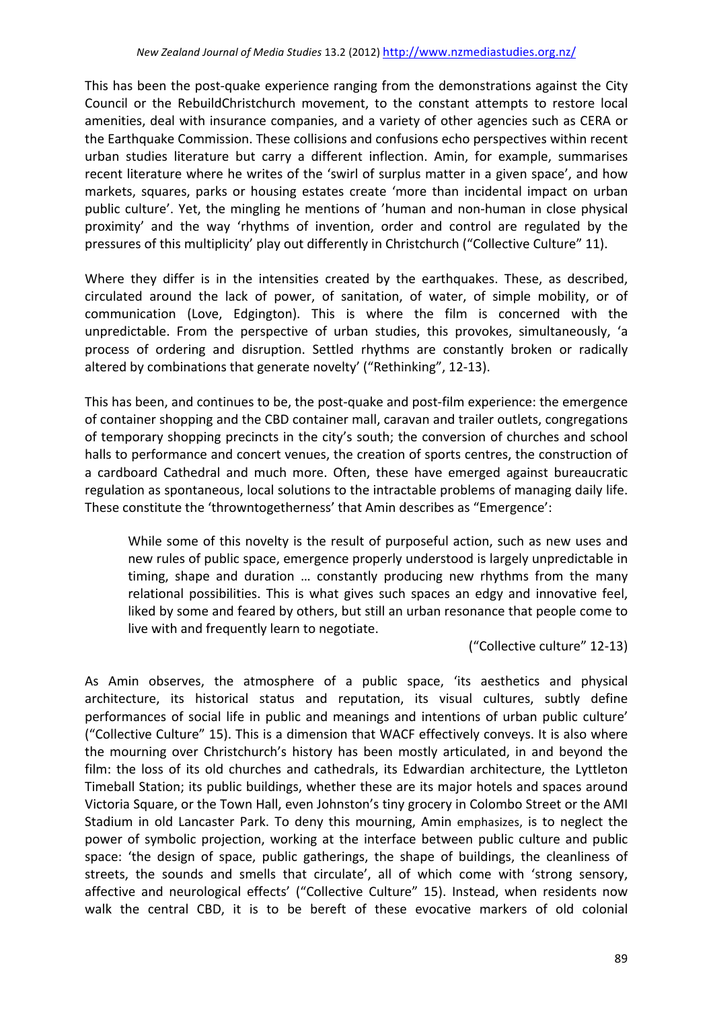This has been the post-quake experience ranging from the demonstrations against the City Council or the RebuildChristchurch movement, to the constant attempts to restore local amenities, deal with insurance companies, and a variety of other agencies such as CERA or the Earthquake Commission. These collisions and confusions echo perspectives within recent urban studies literature but carry a different inflection. Amin, for example, summarises recent literature where he writes of the 'swirl of surplus matter in a given space', and how markets, squares, parks or housing estates create 'more than incidental impact on urban public culture'. Yet, the mingling he mentions of 'human and non-human in close physical proximity' and the way 'rhythms of invention, order and control are regulated by the pressures of this multiplicity' play out differently in Christchurch ("Collective Culture" 11).

Where they differ is in the intensities created by the earthquakes. These, as described, circulated around the lack of power, of sanitation, of water, of simple mobility, or of communication (Love, Edgington). This is where the film is concerned with the unpredictable. From the perspective of urban studies, this provokes, simultaneously, 'a process of ordering and disruption. Settled rhythms are constantly broken or radically altered by combinations that generate novelty' ("Rethinking", 12-13).

This has been, and continues to be, the post-quake and post-film experience: the emergence of container shopping and the CBD container mall, caravan and trailer outlets, congregations of temporary shopping precincts in the city's south; the conversion of churches and school halls to performance and concert venues, the creation of sports centres, the construction of a cardboard Cathedral and much more. Often, these have emerged against bureaucratic regulation as spontaneous, local solutions to the intractable problems of managing daily life. These constitute the 'throwntogetherness' that Amin describes as "Emergence':

While some of this novelty is the result of purposeful action, such as new uses and new rules of public space, emergence properly understood is largely unpredictable in timing, shape and duration ... constantly producing new rhythms from the many relational possibilities. This is what gives such spaces an edgy and innovative feel, liked by some and feared by others, but still an urban resonance that people come to live with and frequently learn to negotiate.

("Collective culture" 12-13)

As Amin observes, the atmosphere of a public space, 'its aesthetics and physical architecture, its historical status and reputation, its visual cultures, subtly define performances of social life in public and meanings and intentions of urban public culture' ("Collective Culture" 15). This is a dimension that WACF effectively conveys. It is also where the mourning over Christchurch's history has been mostly articulated, in and beyond the film: the loss of its old churches and cathedrals, its Edwardian architecture, the Lyttleton Timeball Station; its public buildings, whether these are its major hotels and spaces around Victoria Square, or the Town Hall, even Johnston's tiny grocery in Colombo Street or the AMI Stadium in old Lancaster Park. To deny this mourning, Amin emphasizes, is to neglect the power of symbolic projection, working at the interface between public culture and public space: 'the design of space, public gatherings, the shape of buildings, the cleanliness of streets, the sounds and smells that circulate', all of which come with 'strong sensory, affective and neurological effects' ("Collective Culture" 15). Instead, when residents now walk the central CBD, it is to be bereft of these evocative markers of old colonial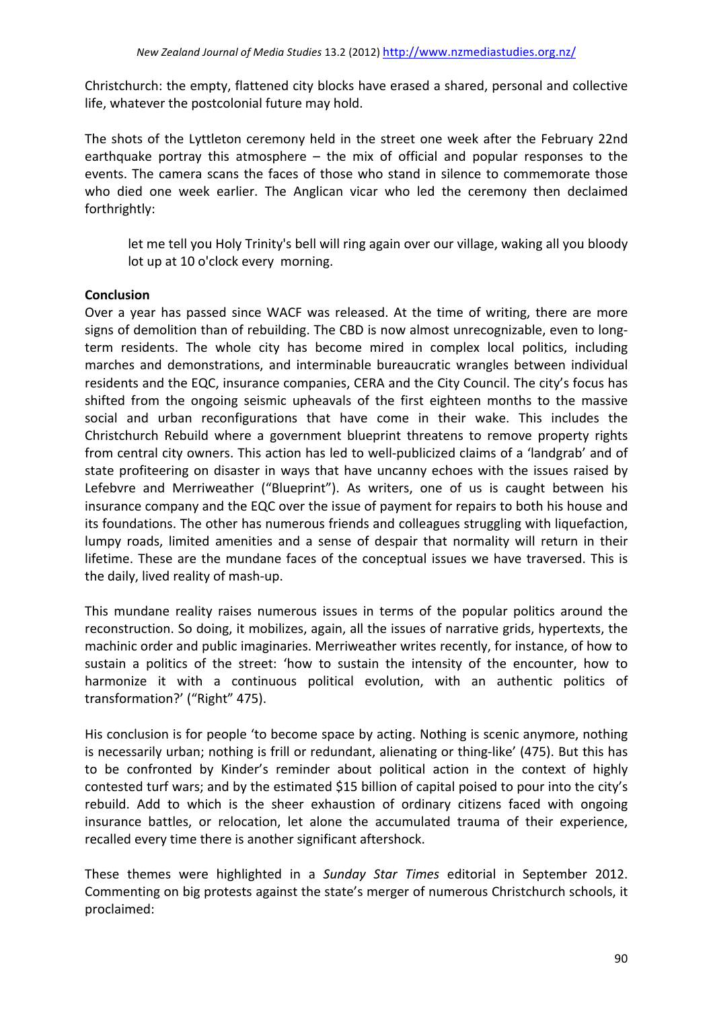Christchurch: the empty, flattened city blocks have erased a shared, personal and collective life, whatever the postcolonial future may hold.

The shots of the Lyttleton ceremony held in the street one week after the February 22nd earthquake portray this atmosphere  $-$  the mix of official and popular responses to the events. The camera scans the faces of those who stand in silence to commemorate those who died one week earlier. The Anglican vicar who led the ceremony then declaimed forthrightly: 

let me tell you Holy Trinity's bell will ring again over our village, waking all you bloody lot up at 10 o'clock every morning.

### **Conclusion**

Over a year has passed since WACF was released. At the time of writing, there are more signs of demolition than of rebuilding. The CBD is now almost unrecognizable, even to longterm residents. The whole city has become mired in complex local politics, including marches and demonstrations, and interminable bureaucratic wrangles between individual residents and the EQC, insurance companies, CERA and the City Council. The city's focus has shifted from the ongoing seismic upheavals of the first eighteen months to the massive social and urban reconfigurations that have come in their wake. This includes the Christchurch Rebuild where a government blueprint threatens to remove property rights from central city owners. This action has led to well-publicized claims of a 'landgrab' and of state profiteering on disaster in ways that have uncanny echoes with the issues raised by Lefebvre and Merriweather ("Blueprint"). As writers, one of us is caught between his insurance company and the EQC over the issue of payment for repairs to both his house and its foundations. The other has numerous friends and colleagues struggling with liquefaction, lumpy roads, limited amenities and a sense of despair that normality will return in their lifetime. These are the mundane faces of the conceptual issues we have traversed. This is the daily, lived reality of mash-up.

This mundane reality raises numerous issues in terms of the popular politics around the reconstruction. So doing, it mobilizes, again, all the issues of narrative grids, hypertexts, the machinic order and public imaginaries. Merriweather writes recently, for instance, of how to sustain a politics of the street: 'how to sustain the intensity of the encounter, how to harmonize it with a continuous political evolution, with an authentic politics of transformation?' ("Right" 475).

His conclusion is for people 'to become space by acting. Nothing is scenic anymore, nothing is necessarily urban; nothing is frill or redundant, alienating or thing-like' (475). But this has to be confronted by Kinder's reminder about political action in the context of highly contested turf wars; and by the estimated \$15 billion of capital poised to pour into the city's rebuild. Add to which is the sheer exhaustion of ordinary citizens faced with ongoing insurance battles, or relocation, let alone the accumulated trauma of their experience, recalled every time there is another significant aftershock.

These themes were highlighted in a *Sunday Star Times* editorial in September 2012. Commenting on big protests against the state's merger of numerous Christchurch schools, it proclaimed: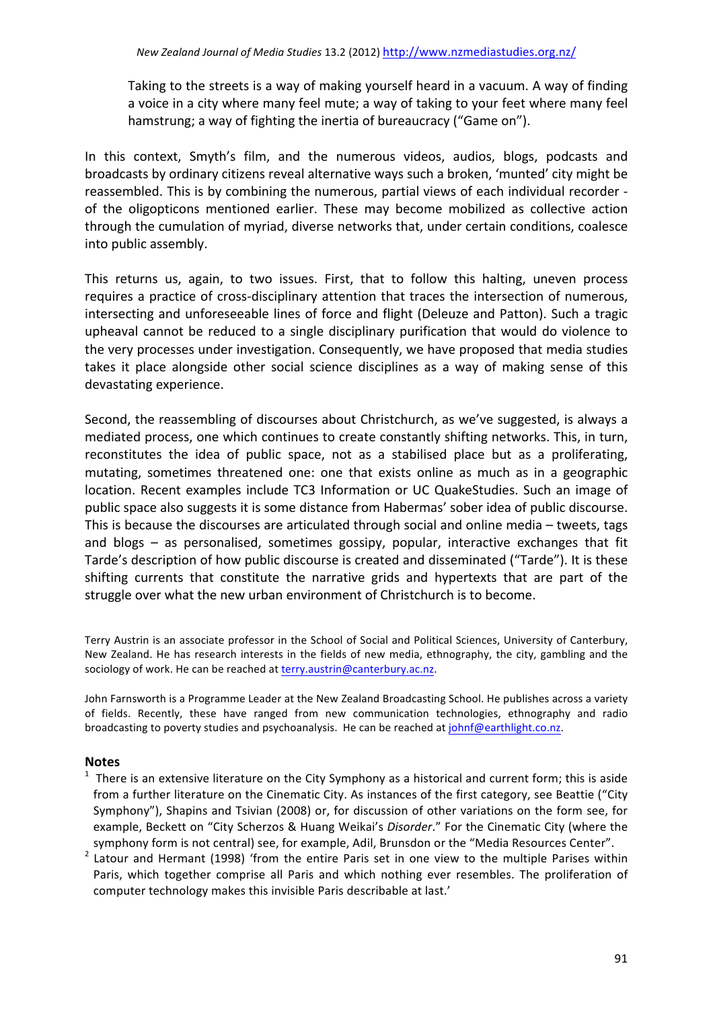Taking to the streets is a way of making yourself heard in a vacuum. A way of finding a voice in a city where many feel mute; a way of taking to your feet where many feel hamstrung; a way of fighting the inertia of bureaucracy ("Game on").

In this context, Smyth's film, and the numerous videos, audios, blogs, podcasts and broadcasts by ordinary citizens reveal alternative ways such a broken, 'munted' city might be reassembled. This is by combining the numerous, partial views of each individual recorder of the oligopticons mentioned earlier. These may become mobilized as collective action through the cumulation of myriad, diverse networks that, under certain conditions, coalesce into public assembly.

This returns us, again, to two issues. First, that to follow this halting, uneven process requires a practice of cross-disciplinary attention that traces the intersection of numerous, intersecting and unforeseeable lines of force and flight (Deleuze and Patton). Such a tragic upheaval cannot be reduced to a single disciplinary purification that would do violence to the very processes under investigation. Consequently, we have proposed that media studies takes it place alongside other social science disciplines as a way of making sense of this devastating experience.

Second, the reassembling of discourses about Christchurch, as we've suggested, is always a mediated process, one which continues to create constantly shifting networks. This, in turn, reconstitutes the idea of public space, not as a stabilised place but as a proliferating, mutating, sometimes threatened one: one that exists online as much as in a geographic location. Recent examples include TC3 Information or UC QuakeStudies. Such an image of public space also suggests it is some distance from Habermas' sober idea of public discourse. This is because the discourses are articulated through social and online media – tweets, tags and blogs  $-$  as personalised, sometimes gossipy, popular, interactive exchanges that fit Tarde's description of how public discourse is created and disseminated ("Tarde"). It is these shifting currents that constitute the narrative grids and hypertexts that are part of the struggle over what the new urban environment of Christchurch is to become.

Terry Austrin is an associate professor in the School of Social and Political Sciences, University of Canterbury, New Zealand. He has research interests in the fields of new media, ethnography, the city, gambling and the sociology of work. He can be reached at terry.austrin@canterbury.ac.nz.

John Farnsworth is a Programme Leader at the New Zealand Broadcasting School. He publishes across a variety of fields. Recently, these have ranged from new communication technologies, ethnography and radio broadcasting to poverty studies and psychoanalysis. He can be reached at johnf@earthlight.co.nz.

#### **Notes**

- $1$  There is an extensive literature on the City Symphony as a historical and current form; this is aside from a further literature on the Cinematic City. As instances of the first category, see Beattie ("City Symphony"), Shapins and Tsivian (2008) or, for discussion of other variations on the form see, for example, Beckett on "City Scherzos & Huang Weikai's *Disorder*." For the Cinematic City (where the symphony form is not central) see, for example, Adil, Brunsdon or the "Media Resources Center".
- Latour and Hermant (1998) 'from the entire Paris set in one view to the multiple Parises within Paris, which together comprise all Paris and which nothing ever resembles. The proliferation of computer technology makes this invisible Paris describable at last.'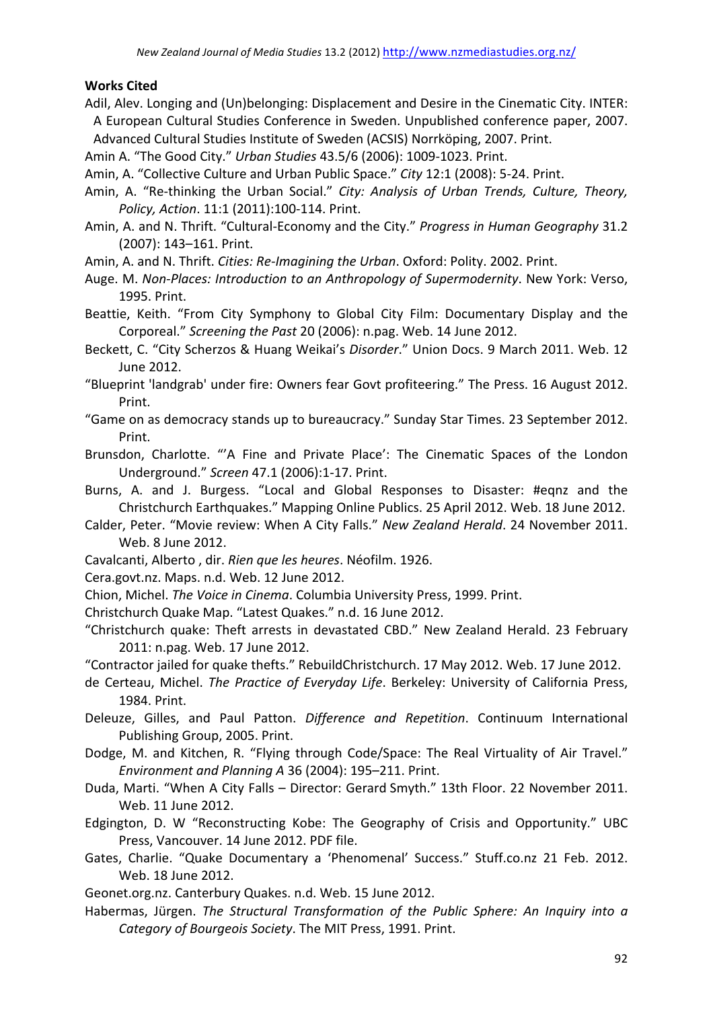#### **Works Cited**

Adil, Alev. Longing and (Un)belonging: Displacement and Desire in the Cinematic City. INTER: A European Cultural Studies Conference in Sweden. Unpublished conference paper, 2007. Advanced Cultural Studies Institute of Sweden (ACSIS) Norrköping, 2007. Print.

Amin A. "The Good City." *Urban Studies* 43.5/6 (2006): 1009-1023. Print.

- Amin, A. "Collective Culture and Urban Public Space." *City* 12:1 (2008): 5-24. Print.
- Amin, A. "Re-thinking the Urban Social." *City: Analysis of Urban Trends, Culture, Theory, Policy, Action*. 11:1 (2011):100-114. Print.
- Amin, A. and N. Thrift. "Cultural-Economy and the City." *Progress in Human Geography* 31.2 (2007): 143-161. Print.
- Amin, A. and N. Thrift. *Cities: Re-Imagining the Urban*. Oxford: Polity. 2002. Print.
- Auge. M. Non-Places: Introduction to an Anthropology of Supermodernity. New York: Verso, 1995. Print.
- Beattie, Keith. "From City Symphony to Global City Film: Documentary Display and the Corporeal." *Screening the Past* 20 (2006): n.pag. Web. 14 June 2012.
- Beckett, C. "City Scherzos & Huang Weikai's *Disorder*." Union Docs. 9 March 2011. Web. 12 June 2012.
- "Blueprint 'landgrab' under fire: Owners fear Govt profiteering." The Press. 16 August 2012. Print.
- "Game on as democracy stands up to bureaucracy." Sunday Star Times. 23 September 2012. Print.
- Brunsdon, Charlotte. "'A Fine and Private Place': The Cinematic Spaces of the London Underground." *Screen* 47.1 (2006):1-17. Print.
- Burns, A. and J. Burgess. "Local and Global Responses to Disaster: #eqnz and the Christchurch Earthquakes." Mapping Online Publics. 25 April 2012. Web. 18 June 2012.
- Calder, Peter. "Movie review: When A City Falls." New Zealand Herald. 24 November 2011. Web. 8 June 2012.
- Cavalcanti, Alberto, dir. Rien que les heures. Néofilm. 1926.
- Cera.govt.nz. Maps. n.d. Web. 12 June 2012.
- Chion, Michel. The Voice in Cinema. Columbia University Press, 1999. Print.
- Christchurch Quake Map. "Latest Quakes." n.d. 16 June 2012.
- "Christchurch quake: Theft arrests in devastated CBD." New Zealand Herald. 23 February 2011: n.pag. Web. 17 June 2012.
- "Contractor jailed for quake thefts." RebuildChristchurch. 17 May 2012. Web. 17 June 2012.
- de Certeau, Michel. The Practice of Everyday Life. Berkeley: University of California Press, 1984. Print.
- Deleuze, Gilles, and Paul Patton. Difference and Repetition. Continuum International Publishing Group, 2005. Print.
- Dodge, M. and Kitchen, R. "Flying through Code/Space: The Real Virtuality of Air Travel." *Environment and Planning A* 36 (2004): 195-211. Print.
- Duda, Marti. "When A City Falls Director: Gerard Smyth." 13th Floor. 22 November 2011. Web. 11 June 2012.
- Edgington, D. W "Reconstructing Kobe: The Geography of Crisis and Opportunity." UBC Press, Vancouver. 14 June 2012. PDF file.
- Gates, Charlie. "Quake Documentary a 'Phenomenal' Success." Stuff.co.nz 21 Feb. 2012. Web. 18 June 2012.
- Geonet.org.nz. Canterbury Quakes. n.d. Web. 15 June 2012.
- Habermas, Jürgen. *The Structural Transformation of the Public Sphere: An Inquiry into a Category of Bourgeois Society*. The MIT Press, 1991. Print.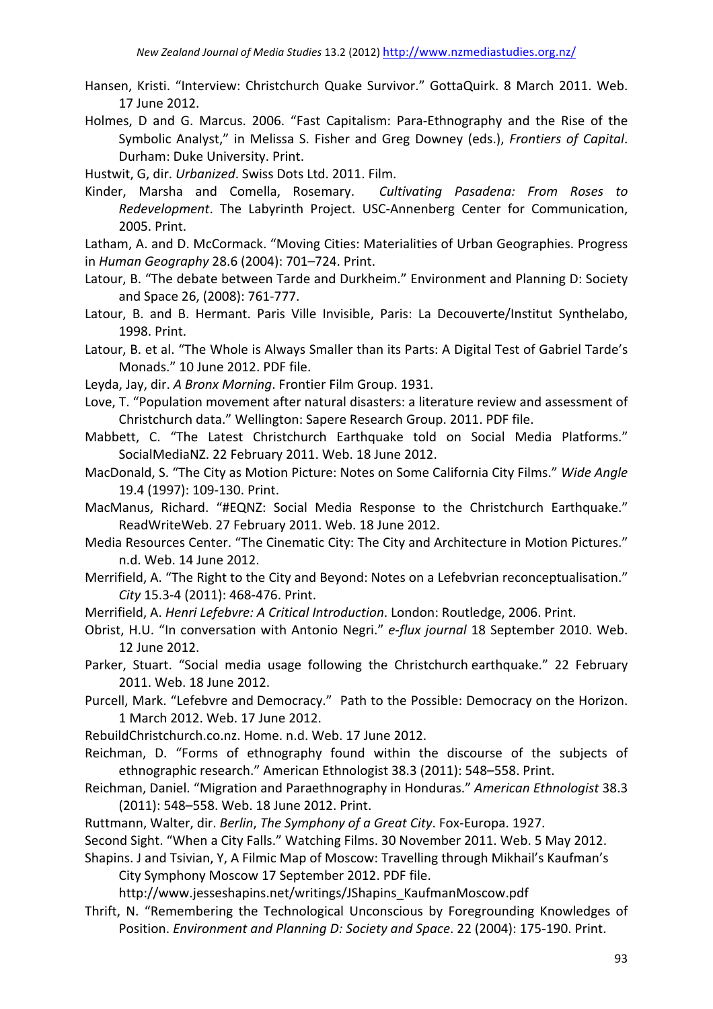- Hansen, Kristi. "Interview: Christchurch Quake Survivor." GottaQuirk. 8 March 2011. Web. 17 June 2012.
- Holmes, D and G. Marcus. 2006. "Fast Capitalism: Para-Ethnography and the Rise of the Symbolic Analyst," in Melissa S. Fisher and Greg Downey (eds.), *Frontiers of Capital*. Durham: Duke University. Print.
- Hustwit, G, dir. *Urbanized*. Swiss Dots Ltd. 2011. Film.
- Kinder, Marsha and Comella, Rosemary. Cultivating Pasadena: From Roses to *Redevelopment*. The Labyrinth Project. USC-Annenberg Center for Communication, 2005. Print.

Latham, A. and D. McCormack. "Moving Cities: Materialities of Urban Geographies. Progress in *Human Geography* 28.6 (2004): 701–724. Print.

- Latour, B. "The debate between Tarde and Durkheim." Environment and Planning D: Society and Space 26, (2008): 761-777.
- Latour, B. and B. Hermant. Paris Ville Invisible, Paris: La Decouverte/Institut Synthelabo, 1998. Print.
- Latour, B. et al. "The Whole is Always Smaller than its Parts: A Digital Test of Gabriel Tarde's Monads." 10 June 2012. PDF file.
- Leyda, Jay, dir. *A Bronx Morning*. Frontier Film Group. 1931.
- Love, T. "Population movement after natural disasters: a literature review and assessment of Christchurch data." Wellington: Sapere Research Group. 2011. PDF file.
- Mabbett, C. "The Latest Christchurch Earthquake told on Social Media Platforms." SocialMediaNZ. 22 February 2011. Web. 18 June 2012.
- MacDonald, S. "The City as Motion Picture: Notes on Some California City Films." *Wide Angle* 19.4 (1997): 109-130. Print.
- MacManus, Richard. "#EQNZ: Social Media Response to the Christchurch Earthquake." ReadWriteWeb. 27 February 2011. Web. 18 June 2012.
- Media Resources Center. "The Cinematic City: The City and Architecture in Motion Pictures." n.d. Web. 14 June 2012.
- Merrifield, A. "The Right to the City and Beyond: Notes on a Lefebvrian reconceptualisation." City 15.3-4 (2011): 468-476. Print.
- Merrifield, A. *Henri Lefebvre: A Critical Introduction*. London: Routledge, 2006. Print.
- Obrist, H.U. "In conversation with Antonio Negri." e-flux journal 18 September 2010. Web. 12 June 2012.
- Parker, Stuart. "Social media usage following the Christchurch earthquake." 22 February 2011. Web. 18 June 2012.
- Purcell, Mark. "Lefebvre and Democracy." Path to the Possible: Democracy on the Horizon. 1 March 2012. Web. 17 June 2012.
- RebuildChristchurch.co.nz. Home. n.d. Web. 17 June 2012.
- Reichman, D. "Forms of ethnography found within the discourse of the subjects of ethnographic research." American Ethnologist 38.3 (2011): 548–558. Print.
- Reichman, Daniel. "Migration and Paraethnography in Honduras." American Ethnologist 38.3 (2011): 548-558. Web. 18 June 2012. Print.
- Ruttmann, Walter, dir. *Berlin, The Symphony of a Great City*. Fox-Europa. 1927.
- Second Sight. "When a City Falls." Watching Films. 30 November 2011. Web. 5 May 2012.
- Shapins. J and Tsivian, Y, A Filmic Map of Moscow: Travelling through Mikhail's Kaufman's City Symphony Moscow 17 September 2012. PDF file.

http://www.jesseshapins.net/writings/JShapins\_KaufmanMoscow.pdf

Thrift, N. "Remembering the Technological Unconscious by Foregrounding Knowledges of Position. *Environment and Planning D: Society and Space*. 22 (2004): 175-190. Print.